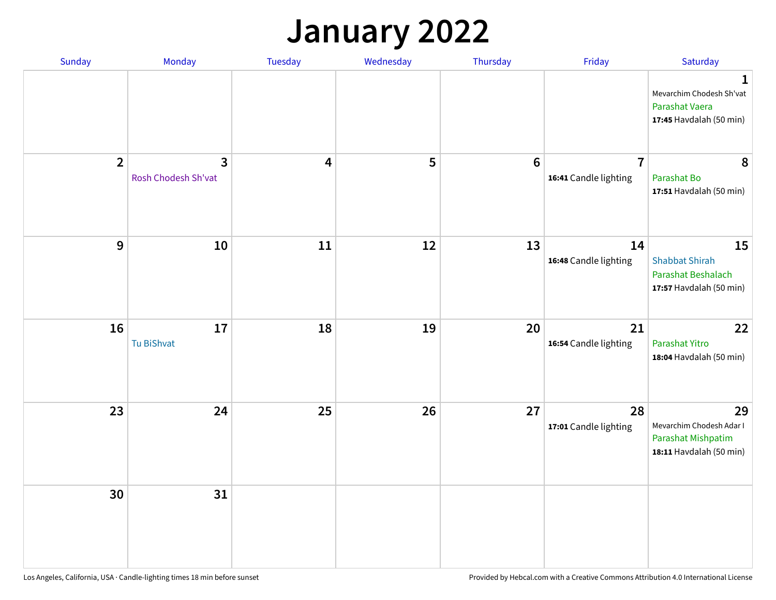## **January 2022**

| <b>Sunday</b>  | Monday                                | Tuesday                 | Wednesday | Thursday         | Friday                                  | Saturday                                                                              |
|----------------|---------------------------------------|-------------------------|-----------|------------------|-----------------------------------------|---------------------------------------------------------------------------------------|
|                |                                       |                         |           |                  |                                         | $\mathbf{1}$<br>Mevarchim Chodesh Sh'vat<br>Parashat Vaera<br>17:45 Havdalah (50 min) |
| $\overline{2}$ | $\overline{3}$<br>Rosh Chodesh Sh'vat | $\overline{\mathbf{4}}$ | 5         | $\boldsymbol{6}$ | $\overline{7}$<br>16:41 Candle lighting | 8<br>Parashat Bo<br>17:51 Havdalah (50 min)                                           |
| $9$            | 10                                    | 11                      | 12        | 13               | 14<br>16:48 Candle lighting             | 15<br><b>Shabbat Shirah</b><br>Parashat Beshalach<br>17:57 Havdalah (50 min)          |
| 16             | 17<br>Tu BiShvat                      | 18                      | 19        | 20               | 21<br>16:54 Candle lighting             | 22<br>Parashat Yitro<br>18:04 Havdalah (50 min)                                       |
| 23             | 24                                    | 25                      | 26        | 27               | 28<br>17:01 Candle lighting             | 29<br>Mevarchim Chodesh Adar I<br>Parashat Mishpatim<br>18:11 Havdalah (50 min)       |
| 30             | 31                                    |                         |           |                  |                                         |                                                                                       |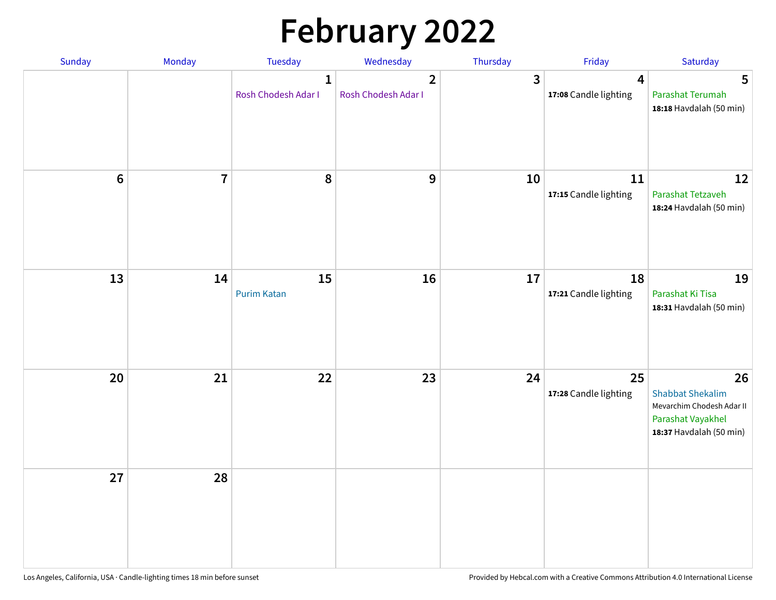# **February 2022**

| Sunday | Monday         | Tuesday                             | Wednesday                                      | Thursday                | Friday                      | Saturday                                                                                                   |
|--------|----------------|-------------------------------------|------------------------------------------------|-------------------------|-----------------------------|------------------------------------------------------------------------------------------------------------|
|        |                | $\mathbf{1}$<br>Rosh Chodesh Adar I | $\overline{\mathbf{2}}$<br>Rosh Chodesh Adar I | $\overline{\mathbf{3}}$ | 4<br>17:08 Candle lighting  | 5<br>Parashat Terumah<br>18:18 Havdalah (50 min)                                                           |
| $6\,$  | $\overline{7}$ | 8                                   | 9                                              | 10                      | 11<br>17:15 Candle lighting | 12<br>Parashat Tetzaveh<br>18:24 Havdalah (50 min)                                                         |
| 13     | 14             | 15<br><b>Purim Katan</b>            | 16                                             | 17                      | 18<br>17:21 Candle lighting | 19<br>Parashat Ki Tisa<br>18:31 Havdalah (50 min)                                                          |
| 20     | 21             | 22                                  | 23                                             | 24                      | 25<br>17:28 Candle lighting | 26<br><b>Shabbat Shekalim</b><br>Mevarchim Chodesh Adar II<br>Parashat Vayakhel<br>18:37 Havdalah (50 min) |
| 27     | 28             |                                     |                                                |                         |                             |                                                                                                            |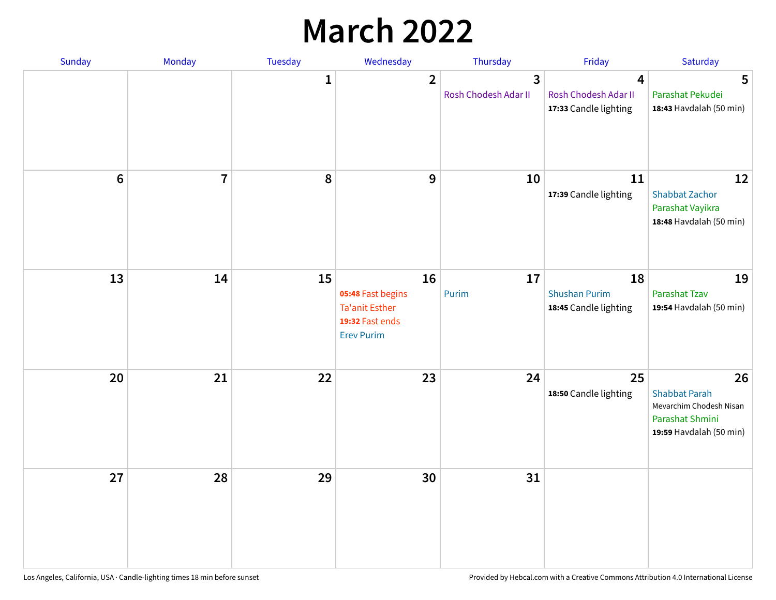## **March 2022**

| Sunday  | <b>Monday</b>  | <b>Tuesday</b> | Wednesday                                                                                | Thursday                  | Friday                                              | Saturday                                                                                            |
|---------|----------------|----------------|------------------------------------------------------------------------------------------|---------------------------|-----------------------------------------------------|-----------------------------------------------------------------------------------------------------|
|         |                | $\mathbf{1}$   | $\overline{2}$                                                                           | 3<br>Rosh Chodesh Adar II | 4<br>Rosh Chodesh Adar II<br>17:33 Candle lighting  | 5<br>Parashat Pekudei<br>18:43 Havdalah (50 min)                                                    |
| $\bf 6$ | $\overline{7}$ | 8              | 9                                                                                        | 10                        | 11<br>17:39 Candle lighting                         | 12<br><b>Shabbat Zachor</b><br>Parashat Vayikra<br>18:48 Havdalah (50 min)                          |
| 13      | 14             | 15             | 16<br>05:48 Fast begins<br><b>Ta'anit Esther</b><br>19:32 Fast ends<br><b>Erev Purim</b> | 17<br>Purim               | 18<br><b>Shushan Purim</b><br>18:45 Candle lighting | 19<br><b>Parashat Tzav</b><br>19:54 Havdalah (50 min)                                               |
| 20      | 21             | 22             | 23                                                                                       | 24                        | 25<br>18:50 Candle lighting                         | 26<br><b>Shabbat Parah</b><br>Mevarchim Chodesh Nisan<br>Parashat Shmini<br>19:59 Havdalah (50 min) |
| 27      | 28             | 29             | 30                                                                                       | 31                        |                                                     |                                                                                                     |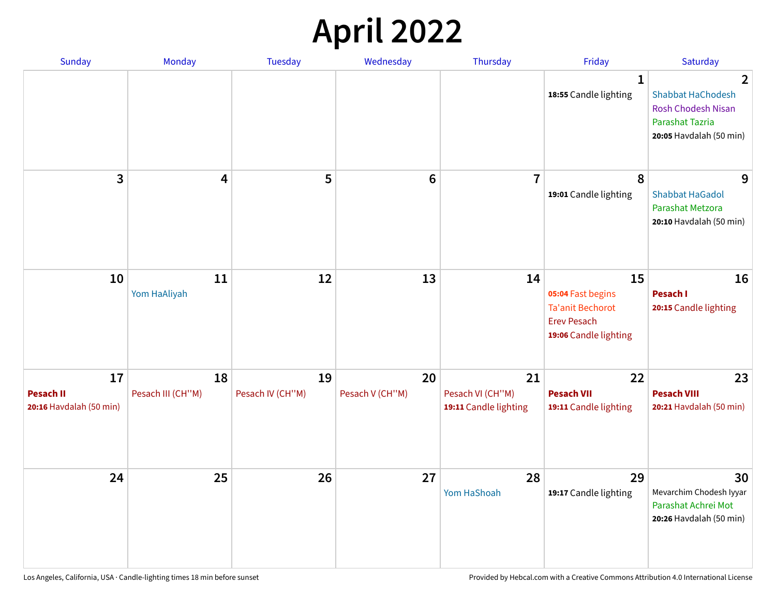## **April 2022**

| <b>Sunday</b>                                     | Monday                  | <b>Tuesday</b>         | Wednesday             | Thursday                                        | Friday                                                                                     | Saturday                                                                                                        |
|---------------------------------------------------|-------------------------|------------------------|-----------------------|-------------------------------------------------|--------------------------------------------------------------------------------------------|-----------------------------------------------------------------------------------------------------------------|
|                                                   |                         |                        |                       |                                                 | $\mathbf{1}$<br>18:55 Candle lighting                                                      | 2<br><b>Shabbat HaChodesh</b><br><b>Rosh Chodesh Nisan</b><br><b>Parashat Tazria</b><br>20:05 Havdalah (50 min) |
| 3                                                 | 4                       | 5                      | $6\phantom{1}$        | $\overline{7}$                                  | 8<br>19:01 Candle lighting                                                                 | 9<br><b>Shabbat HaGadol</b><br>Parashat Metzora<br>20:10 Havdalah (50 min)                                      |
| 10                                                | 11<br>Yom HaAliyah      | 12                     | 13                    | 14                                              | 15<br>05:04 Fast begins<br>Ta'anit Bechorot<br><b>Erev Pesach</b><br>19:06 Candle lighting | 16<br>Pesach I<br>20:15 Candle lighting                                                                         |
| 17<br><b>Pesach II</b><br>20:16 Havdalah (50 min) | 18<br>Pesach III (CH"M) | 19<br>Pesach IV (CH"M) | 20<br>Pesach V (CH"M) | 21<br>Pesach VI (CH"M)<br>19:11 Candle lighting | 22<br><b>Pesach VII</b><br>19:11 Candle lighting                                           | 23<br><b>Pesach VIII</b><br>20:21 Havdalah (50 min)                                                             |
| 24                                                | 25                      | 26                     | 27                    | 28<br>Yom HaShoah                               | 29<br>19:17 Candle lighting                                                                | 30<br>Mevarchim Chodesh Iyyar<br>Parashat Achrei Mot<br>20:26 Havdalah (50 min)                                 |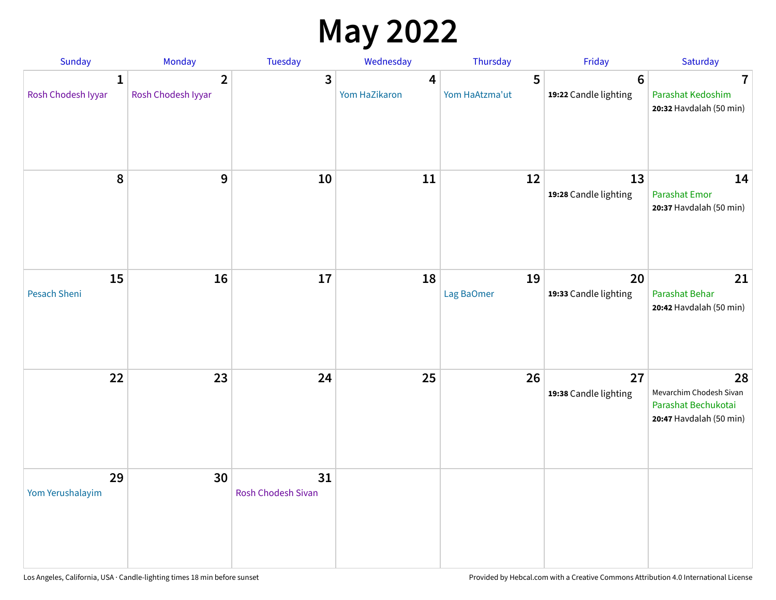## **May 2022**

| Sunday                             | Monday                               | Tuesday                         | Wednesday          | Thursday            | Friday                                   | Saturday                                                                        |
|------------------------------------|--------------------------------------|---------------------------------|--------------------|---------------------|------------------------------------------|---------------------------------------------------------------------------------|
| $\mathbf{1}$<br>Rosh Chodesh Iyyar | $\overline{2}$<br>Rosh Chodesh Iyyar | 3                               | 4<br>Yom HaZikaron | 5<br>Yom HaAtzma'ut | $6\phantom{1}6$<br>19:22 Candle lighting | $\overline{\mathbf{7}}$<br>Parashat Kedoshim<br>20:32 Havdalah (50 min)         |
| 8                                  | 9                                    | 10                              | 11                 | 12                  | 13<br>19:28 Candle lighting              | 14<br>Parashat Emor<br>20:37 Havdalah (50 min)                                  |
| 15<br>Pesach Sheni                 | 16                                   | 17                              | 18                 | 19<br>Lag BaOmer    | 20<br>19:33 Candle lighting              | 21<br>Parashat Behar<br>20:42 Havdalah (50 min)                                 |
| 22                                 | 23                                   | 24                              | 25                 | 26                  | 27<br>19:38 Candle lighting              | 28<br>Mevarchim Chodesh Sivan<br>Parashat Bechukotai<br>20:47 Havdalah (50 min) |
| 29<br>Yom Yerushalayim             | 30                                   | 31<br><b>Rosh Chodesh Sivan</b> |                    |                     |                                          |                                                                                 |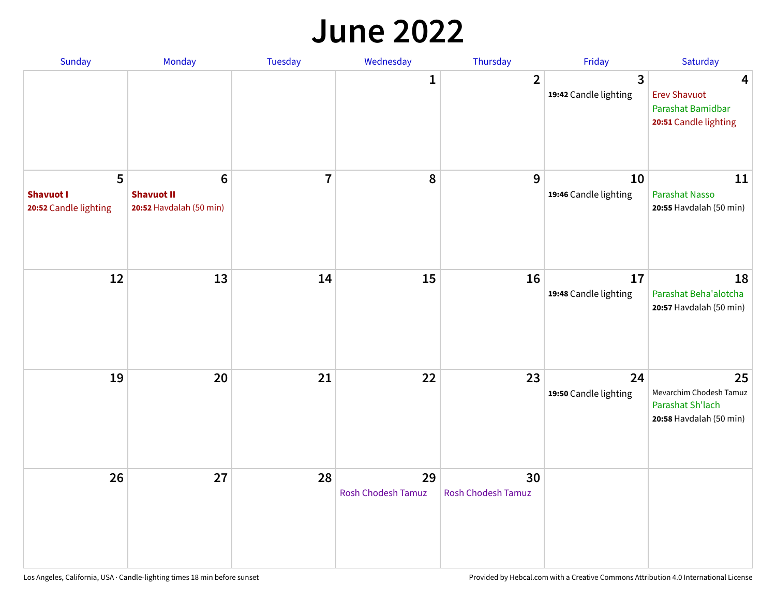#### **June 2022**

| Sunday                                         | Monday                                                  | Tuesday        | Wednesday                | Thursday                        | Friday                      | Saturday                                                                     |
|------------------------------------------------|---------------------------------------------------------|----------------|--------------------------|---------------------------------|-----------------------------|------------------------------------------------------------------------------|
|                                                |                                                         |                | 1                        | $\overline{2}$                  | 3<br>19:42 Candle lighting  | 4<br><b>Erev Shavuot</b><br>Parashat Bamidbar<br>20:51 Candle lighting       |
| 5<br><b>Shavuot I</b><br>20:52 Candle lighting | $\bf 6$<br><b>Shavuot II</b><br>20:52 Havdalah (50 min) | $\overline{7}$ | 8                        | 9                               | 10<br>19:46 Candle lighting | 11<br>Parashat Nasso<br>20:55 Havdalah (50 min)                              |
| 12                                             | 13                                                      | 14             | 15                       | 16                              | 17<br>19:48 Candle lighting | 18<br>Parashat Beha'alotcha<br>20:57 Havdalah (50 min)                       |
| 19                                             | 20                                                      | 21             | 22                       | 23                              | 24<br>19:50 Candle lighting | 25<br>Mevarchim Chodesh Tamuz<br>Parashat Sh'lach<br>20:58 Havdalah (50 min) |
| 26                                             | 27                                                      | 28             | 29<br>Rosh Chodesh Tamuz | 30<br><b>Rosh Chodesh Tamuz</b> |                             |                                                                              |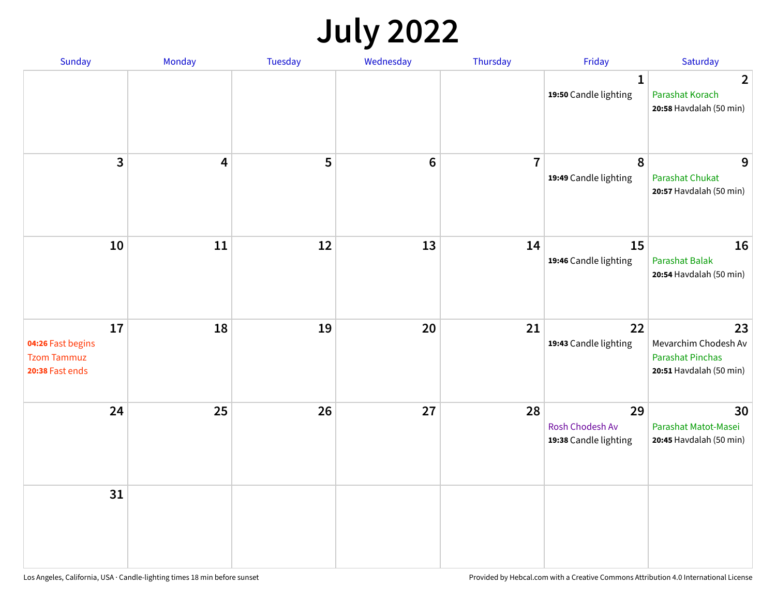## **July 2022**

| <b>Sunday</b>                                                    | Monday                  | Tuesday | Wednesday | Thursday       | Friday                                         | Saturday                                                                         |
|------------------------------------------------------------------|-------------------------|---------|-----------|----------------|------------------------------------------------|----------------------------------------------------------------------------------|
|                                                                  |                         |         |           |                | $\mathbf{1}$<br>19:50 Candle lighting          | $\overline{2}$<br>Parashat Korach<br>20:58 Havdalah (50 min)                     |
| $\mathbf{3}$                                                     | $\overline{\mathbf{4}}$ | 5       | $\bf 6$   | $\overline{7}$ | 8<br>19:49 Candle lighting                     | 9<br>Parashat Chukat<br>20:57 Havdalah (50 min)                                  |
| 10                                                               | 11                      | 12      | 13        | 14             | 15<br>19:46 Candle lighting                    | 16<br>Parashat Balak<br>20:54 Havdalah (50 min)                                  |
| 17<br>04:26 Fast begins<br><b>Tzom Tammuz</b><br>20:38 Fast ends | 18                      | 19      | 20        | 21             | 22<br>19:43 Candle lighting                    | 23<br>Mevarchim Chodesh Av<br><b>Parashat Pinchas</b><br>20:51 Havdalah (50 min) |
| 24                                                               | 25                      | 26      | 27        | 28             | 29<br>Rosh Chodesh Av<br>19:38 Candle lighting | 30<br>Parashat Matot-Masei<br>20:45 Havdalah (50 min)                            |
| 31                                                               |                         |         |           |                |                                                |                                                                                  |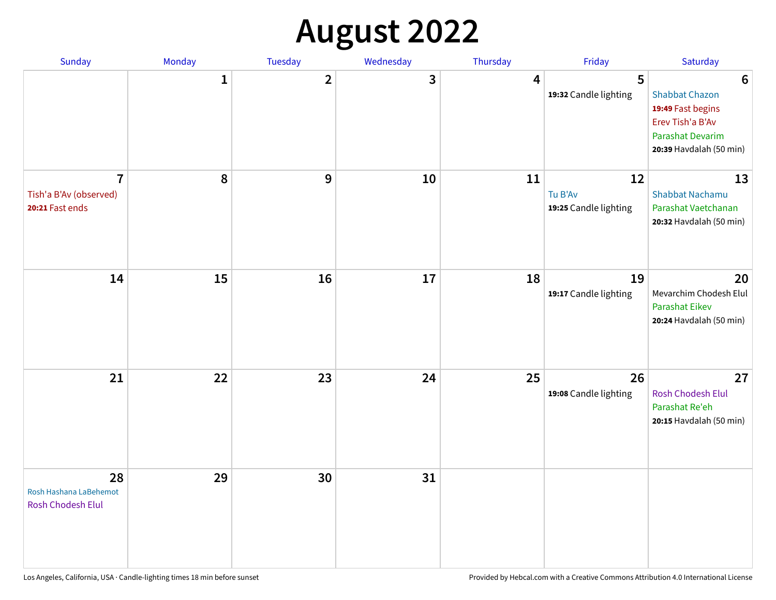## **August 2022**

| Sunday                                                      | Monday       | Tuesday                 | Wednesday | Thursday | Friday                                 | Saturday                                                                                                                                |
|-------------------------------------------------------------|--------------|-------------------------|-----------|----------|----------------------------------------|-----------------------------------------------------------------------------------------------------------------------------------------|
|                                                             | $\mathbf{1}$ | $\overline{\mathbf{2}}$ | 3         | 4        | 5<br>19:32 Candle lighting             | $6\phantom{1}6$<br><b>Shabbat Chazon</b><br>19:49 Fast begins<br>Erev Tish'a B'Av<br><b>Parashat Devarim</b><br>20:39 Havdalah (50 min) |
| $\overline{7}$<br>Tish'a B'Av (observed)<br>20:21 Fast ends | 8            | 9                       | 10        | 11       | 12<br>Tu B'Av<br>19:25 Candle lighting | 13<br><b>Shabbat Nachamu</b><br>Parashat Vaetchanan<br>20:32 Havdalah (50 min)                                                          |
| 14                                                          | 15           | 16                      | 17        | 18       | 19<br>19:17 Candle lighting            | 20<br>Mevarchim Chodesh Elul<br><b>Parashat Eikev</b><br>20:24 Havdalah (50 min)                                                        |
| 21                                                          | 22           | 23                      | 24        | 25       | 26<br>19:08 Candle lighting            | 27<br><b>Rosh Chodesh Elul</b><br>Parashat Re'eh<br>20:15 Havdalah (50 min)                                                             |
| 28<br>Rosh Hashana LaBehemot<br>Rosh Chodesh Elul           | 29           | 30                      | 31        |          |                                        |                                                                                                                                         |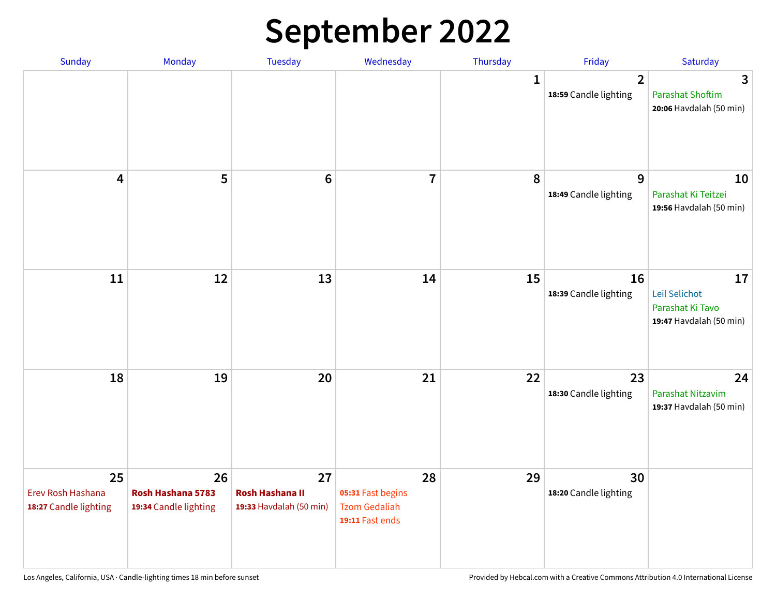## **September 2022**

| Sunday                                           | Monday                                           | Tuesday                                                 | Wednesday                                                          | Thursday | Friday                                  | Saturday                                                           |
|--------------------------------------------------|--------------------------------------------------|---------------------------------------------------------|--------------------------------------------------------------------|----------|-----------------------------------------|--------------------------------------------------------------------|
|                                                  |                                                  |                                                         |                                                                    | 1        | $\overline{2}$<br>18:59 Candle lighting | 3<br><b>Parashat Shoftim</b><br>20:06 Havdalah (50 min)            |
| 4                                                | 5                                                | $6\phantom{1}6$                                         | $\overline{7}$                                                     | 8        | 9<br>18:49 Candle lighting              | 10<br>Parashat Ki Teitzei<br>19:56 Havdalah (50 min)               |
| 11                                               | 12                                               | 13                                                      | 14                                                                 | 15       | 16<br>18:39 Candle lighting             | 17<br>Leil Selichot<br>Parashat Ki Tavo<br>19:47 Havdalah (50 min) |
| 18                                               | 19                                               | 20                                                      | 21                                                                 | 22       | 23<br>18:30 Candle lighting             | 24<br>Parashat Nitzavim<br>19:37 Havdalah (50 min)                 |
| 25<br>Erev Rosh Hashana<br>18:27 Candle lighting | 26<br>Rosh Hashana 5783<br>19:34 Candle lighting | 27<br><b>Rosh Hashana II</b><br>19:33 Havdalah (50 min) | 28<br>05:31 Fast begins<br><b>Tzom Gedaliah</b><br>19:11 Fast ends | 29       | 30<br>18:20 Candle lighting             |                                                                    |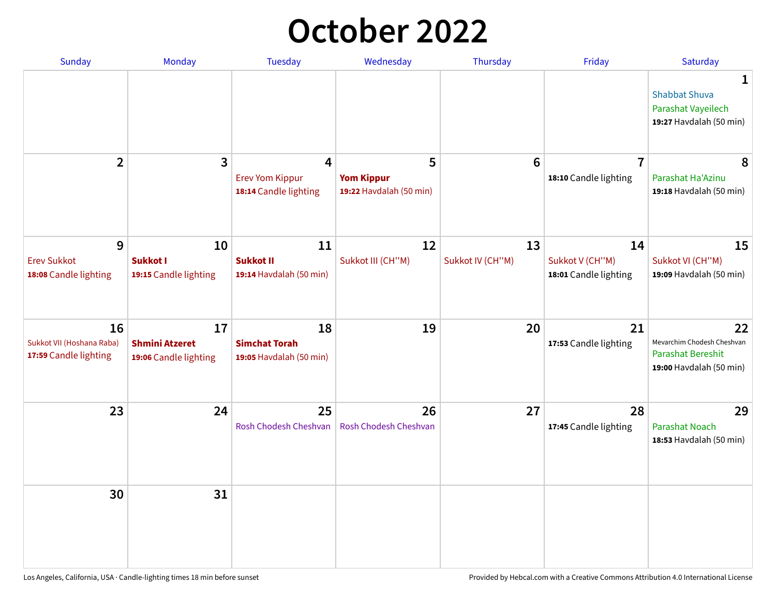## **October 2022**

| Sunday                                                   | Monday                                               | <b>Tuesday</b>                                        | Wednesday                                         | Thursday               | Friday                                         | Saturday                                                                         |
|----------------------------------------------------------|------------------------------------------------------|-------------------------------------------------------|---------------------------------------------------|------------------------|------------------------------------------------|----------------------------------------------------------------------------------|
|                                                          |                                                      |                                                       |                                                   |                        |                                                | 1<br><b>Shabbat Shuva</b><br>Parashat Vayeilech<br>19:27 Havdalah (50 min)       |
| $\overline{2}$                                           | $\overline{\mathbf{3}}$                              | 4<br><b>Erev Yom Kippur</b><br>18:14 Candle lighting  | 5<br><b>Yom Kippur</b><br>19:22 Havdalah (50 min) | $6\phantom{1}6$        | $\overline{7}$<br>18:10 Candle lighting        | 8<br>Parashat Ha'Azinu<br>19:18 Havdalah (50 min)                                |
| 9<br><b>Erev Sukkot</b><br>18:08 Candle lighting         | 10<br><b>Sukkot I</b><br>19:15 Candle lighting       | 11<br><b>Sukkot II</b><br>19:14 Havdalah (50 min)     | 12<br>Sukkot III (CH"M)                           | 13<br>Sukkot IV (CH"M) | 14<br>Sukkot V (CH"M)<br>18:01 Candle lighting | 15<br>Sukkot VI (CH"M)<br>19:09 Havdalah (50 min)                                |
| 16<br>Sukkot VII (Hoshana Raba)<br>17:59 Candle lighting | 17<br><b>Shmini Atzeret</b><br>19:06 Candle lighting | 18<br><b>Simchat Torah</b><br>19:05 Havdalah (50 min) | 19                                                | 20                     | 21<br>17:53 Candle lighting                    | 22<br>Mevarchim Chodesh Cheshvan<br>Parashat Bereshit<br>19:00 Havdalah (50 min) |
| 23                                                       | 24                                                   | 25<br>Rosh Chodesh Cheshvan                           | 26<br>Rosh Chodesh Cheshvan                       | 27                     | 28<br>17:45 Candle lighting                    | 29<br><b>Parashat Noach</b><br>18:53 Havdalah (50 min)                           |
| 30                                                       | 31                                                   |                                                       |                                                   |                        |                                                |                                                                                  |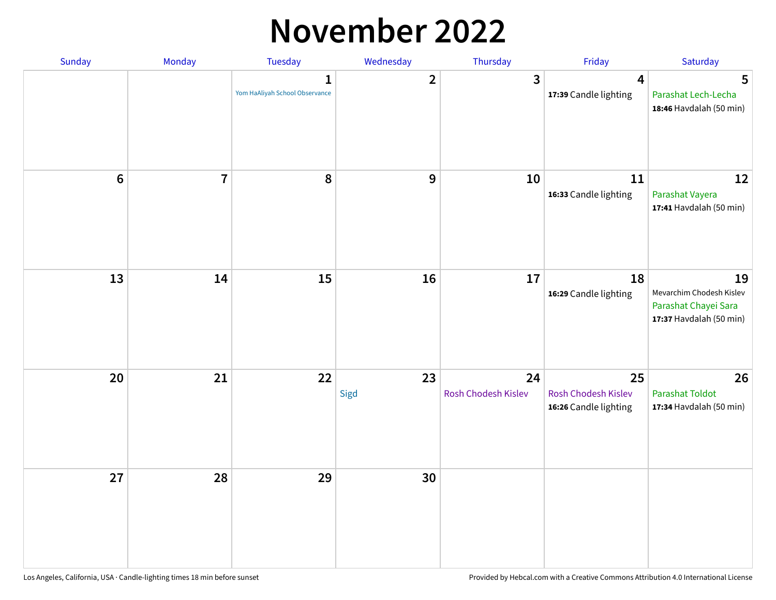#### **November 2022**

| Sunday  | Monday         | <b>Tuesday</b>                                 | Wednesday      | Thursday                  | Friday                                             | Saturday                                                                          |
|---------|----------------|------------------------------------------------|----------------|---------------------------|----------------------------------------------------|-----------------------------------------------------------------------------------|
|         |                | $\mathbf{1}$<br>Yom HaAliyah School Observance | $\overline{2}$ | $\mathbf{3}$              | 4<br>17:39 Candle lighting                         | 5<br>Parashat Lech-Lecha<br>18:46 Havdalah (50 min)                               |
| $\bf 6$ | $\overline{7}$ | 8                                              | 9              | 10                        | 11<br>16:33 Candle lighting                        | 12<br>Parashat Vayera<br>17:41 Havdalah (50 min)                                  |
| 13      | 14             | 15                                             | 16             | 17                        | 18<br>16:29 Candle lighting                        | 19<br>Mevarchim Chodesh Kislev<br>Parashat Chayei Sara<br>17:37 Havdalah (50 min) |
| 20      | 21             | 22                                             | 23<br>Sigd     | 24<br>Rosh Chodesh Kislev | 25<br>Rosh Chodesh Kislev<br>16:26 Candle lighting | 26<br><b>Parashat Toldot</b><br>17:34 Havdalah (50 min)                           |
| 27      | 28             | 29                                             | 30             |                           |                                                    |                                                                                   |